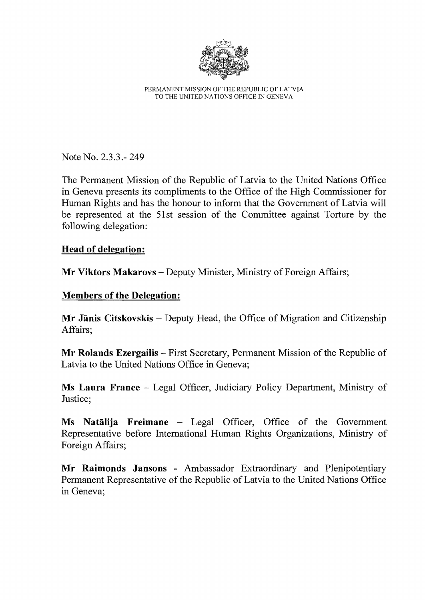

PERMANENT MISSION OF THE REPUBLIC OF LATVIA TO THE UNITED NATIONS OFFICE IN GENEVA

Note No. 2.3.3.- 249

The Permanent Mission of the Republic of Latvia to the United Nations Office in Geneva presents its compliments to the Office of the High Commissioner for Human Rights and has the honour to inform that the Government of Latvia will be represented at the 51st session of the Committee against Torture by the following delegation:

## Head of delegation:

Mr Viktors Makarovs – Deputy Minister, Ministry of Foreign Affairs;

## Members of the Delegation:

Mr Jānis Citskovskis – Deputy Head, the Office of Migration and Citizenship Affairs;

Mr Rolands Ezergailis – First Secretary, Permanent Mission of the Republic of Latvia to the United Nations Office in Geneva;

Ms Laura France - Legal Officer, Judiciary Policy Department, Ministry of Justice;

Ms Natalija Freimane - Legal Officer, Office of the Government Representative before International Human Rights Organizations, Ministry of Foreign Affairs;

Mr Raimonds Jansons - Ambassador Extraordinary and Plenipotentiary Permanent Representative of the Republic of Latvia to the United Nations Office in Geneva;